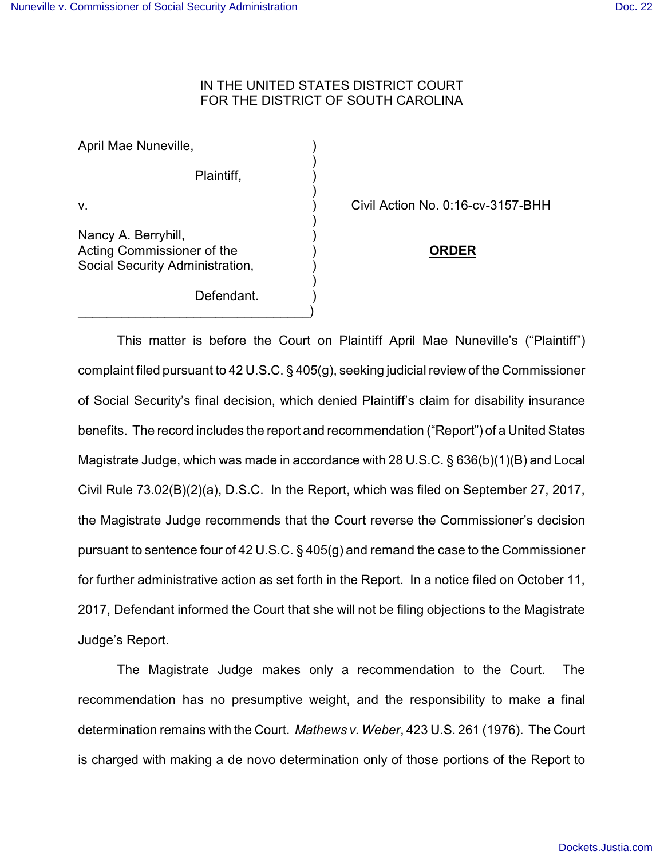## IN THE UNITED STATES DISTRICT COURT FOR THE DISTRICT OF SOUTH CAROLINA

)

)

)

)

April Mae Nuneville, ) Plaintiff, ) v. ) Civil Action No. 0:16-cv-3157-BHH Nancy A. Berryhill, ) Acting Commissioner of the ) **ORDER** Social Security Administration, Defendant.

 $\qquad \qquad \Box$ 

This matter is before the Court on Plaintiff April Mae Nuneville's ("Plaintiff") complaint filed pursuant to 42 U.S.C. § 405(g), seeking judicial review of the Commissioner of Social Security's final decision, which denied Plaintiff's claim for disability insurance benefits. The record includes the report and recommendation ("Report") of a United States Magistrate Judge, which was made in accordance with 28 U.S.C. § 636(b)(1)(B) and Local Civil Rule 73.02(B)(2)(a), D.S.C. In the Report, which was filed on September 27, 2017, the Magistrate Judge recommends that the Court reverse the Commissioner's decision pursuant to sentence four of 42 U.S.C. § 405(g) and remand the case to the Commissioner for further administrative action as set forth in the Report. In a notice filed on October 11, 2017, Defendant informed the Court that she will not be filing objections to the Magistrate Judge's Report.

The Magistrate Judge makes only a recommendation to the Court. The recommendation has no presumptive weight, and the responsibility to make a final determination remains with the Court. *Mathews v. Weber*, 423 U.S. 261 (1976). The Court is charged with making a de novo determination only of those portions of the Report to